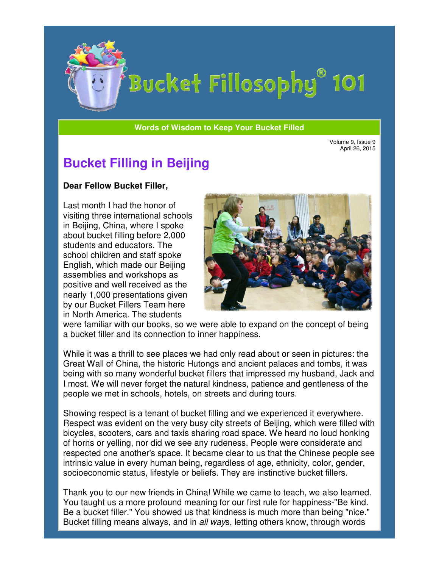

# Bucket Fillosophy® 101

#### **Words of Wisdom to Keep Your Bucket Filled Wisdom**

Volume 9, Issue 9 April 26, 2015

## **Bucket Filling in Beijing**

#### **Dear Fellow Bucket Filler Filler,**

Last month I had the honor of visiting three international schools in Beijing, China, where I spoke about bucket filling before 2,000 students and educators. The school children and staff spoke English, which made our Beijing assemblies and workshops as positive and well received as th nearly 1,000 presentations given by our Bucket Fillers Team here in North America. The students Beijing, China, where I spoke<br>out bucket filling before 2,000<br>udents and educators. The<br>hool children and staff spoke<br>glish, which made our Beijing<br>semblies and workshops as<br>sitive and well received as the



were familiar with our books, so we were able to expand on the concept of being a bucket filler and its connection to inner happiness.

While it was a thrill to see places we had only read about or seen in pictures: the Great Wall of China, the historic Hutongs and ancient palaces and tombs, it was being with so many wonderful bucket fillers that impressed my husband, Jack and I most. We will never forget the natural kindness, patience and gentleness of the people we met in schools, hotels, on streets and during tours. familiar with our books, so we were able to expand on the concept of being<br>ket filler and its connection to inner happiness.<br>it was a thrill to see places we had only read about or seen in pictures: the<br>Wall of China, the

Showing respect is a tenant of bucket filling and we experienced it everywhere. Showing respect is a tenant of bucket filling and we experienced it everywhere.<br>Respect was evident on the very busy city streets of Beijing, which were filled with bicycles, scooters, cars and taxis sharing road space. We heard no loud honking bicycles, scooters, cars and taxis sharing road space. We heard no loud honkin<br>of horns or yelling, nor did we see any rudeness. People were considerate and respected one another's space. It became clear to us that the Chinese peo intrinsic value in every human being, regardless of age, ethnicity, color, gender, socioeconomic status, lifestyle or beliefs. They are instinctive bucket fillers. ind gentleness of the<br>
S.<br>
nced it everywhere.<br>
, which were filled with<br>
eard no loud honking<br>
rre considerate and<br>
ne Chinese people see

Thank you to our new friends in China! While we came to teach, we also learned. You taught us a more profound meaning for our first rule for happiness-"Be kind. Be a bucket filler." You showed us that kindness is much more than being "nice." Bucket filling means always, and in all ways, letting others know, through words ou taught us a more profound meaning for our first rule for happiness-"Be kind.<br>e a bucket filler." You showed us that kindness is much more than being "nice.'<br>ucket filling means always, and in *all way*s, letting others